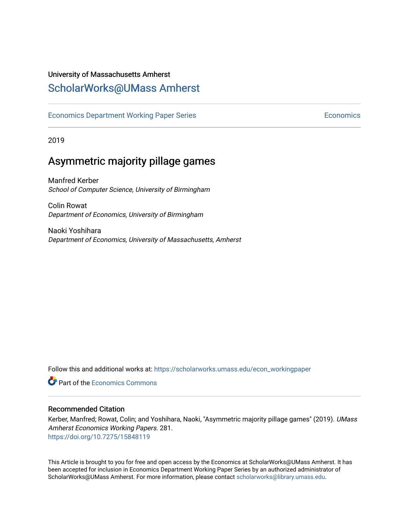## University of Massachusetts Amherst

## [ScholarWorks@UMass Amherst](https://scholarworks.umass.edu/)

[Economics Department Working Paper Series](https://scholarworks.umass.edu/econ_workingpaper) **Economics** Economics

2019

## Asymmetric majority pillage games

Manfred Kerber School of Computer Science, University of Birmingham

Colin Rowat Department of Economics, University of Birmingham

Naoki Yoshihara Department of Economics, University of Massachusetts, Amherst

Follow this and additional works at: [https://scholarworks.umass.edu/econ\\_workingpaper](https://scholarworks.umass.edu/econ_workingpaper?utm_source=scholarworks.umass.edu%2Fecon_workingpaper%2F281&utm_medium=PDF&utm_campaign=PDFCoverPages) 

**C**<sup> $\bullet$ </sup> Part of the [Economics Commons](http://network.bepress.com/hgg/discipline/340?utm_source=scholarworks.umass.edu%2Fecon_workingpaper%2F281&utm_medium=PDF&utm_campaign=PDFCoverPages)

#### Recommended Citation

Kerber, Manfred; Rowat, Colin; and Yoshihara, Naoki, "Asymmetric majority pillage games" (2019). UMass Amherst Economics Working Papers. 281. <https://doi.org/10.7275/15848119>

This Article is brought to you for free and open access by the Economics at ScholarWorks@UMass Amherst. It has been accepted for inclusion in Economics Department Working Paper Series by an authorized administrator of ScholarWorks@UMass Amherst. For more information, please contact [scholarworks@library.umass.edu.](mailto:scholarworks@library.umass.edu)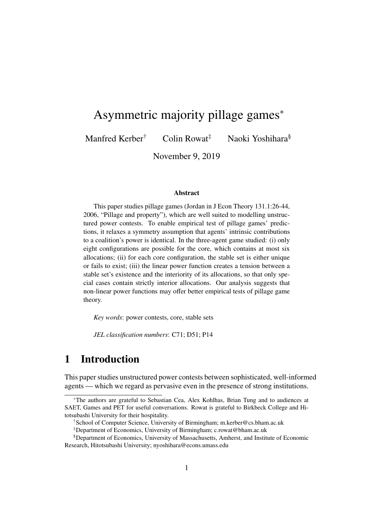# Asymmetric majority pillage games<sup>∗</sup>

Manfred Kerber<sup>†</sup> Colin Rowat<sup>‡</sup> Naoki Yoshihara<sup>§</sup>

November 9, 2019

#### Abstract

This paper studies pillage games (Jordan in J Econ Theory 131.1:26-44, 2006, "Pillage and property"), which are well suited to modelling unstructured power contests. To enable empirical test of pillage games' predictions, it relaxes a symmetry assumption that agents' intrinsic contributions to a coalition's power is identical. In the three-agent game studied: (i) only eight configurations are possible for the core, which contains at most six allocations; (ii) for each core configuration, the stable set is either unique or fails to exist; (iii) the linear power function creates a tension between a stable set's existence and the interiority of its allocations, so that only special cases contain strictly interior allocations. Our analysis suggests that non-linear power functions may offer better empirical tests of pillage game theory.

*Key words*: power contests, core, stable sets

*JEL classification numbers*: C71; D51; P14

## 1 Introduction

This paper studies unstructured power contests between sophisticated, well-informed agents — which we regard as pervasive even in the presence of strong institutions.

<sup>∗</sup>The authors are grateful to Sebastian Cea, Alex Kohlhas, Brian Tung and to audiences at SAET, Games and PET for useful conversations. Rowat is grateful to Birkbeck College and Hitotsubashi University for their hospitality.

<sup>†</sup>School of Computer Science, University of Birmingham; m.kerber@cs.bham.ac.uk

<sup>‡</sup>Department of Economics, University of Birmingham; c.rowat@bham.ac.uk

<sup>§</sup>Department of Economics, University of Massachusetts, Amherst, and Institute of Economic Research, Hitotsubashi University; nyoshihara@econs.umass.edu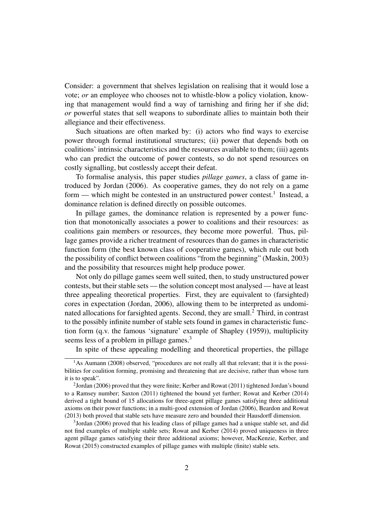Consider: a government that shelves legislation on realising that it would lose a vote; *or* an employee who chooses not to whistle-blow a policy violation, knowing that management would find a way of tarnishing and firing her if she did; *or* powerful states that sell weapons to subordinate allies to maintain both their allegiance and their effectiveness.

Such situations are often marked by: (i) actors who find ways to exercise power through formal institutional structures; (ii) power that depends both on coalitions' intrinsic characteristics and the resources available to them; (iii) agents who can predict the outcome of power contests, so do not spend resources on costly signalling, but costlessly accept their defeat.

To formalise analysis, this paper studies *pillage games*, a class of game introduced by Jordan (2006). As cooperative games, they do not rely on a game form — which might be contested in an unstructured power contest.<sup>1</sup> Instead, a dominance relation is defined directly on possible outcomes.

In pillage games, the dominance relation is represented by a power function that monotonically associates a power to coalitions and their resources: as coalitions gain members or resources, they become more powerful. Thus, pillage games provide a richer treatment of resources than do games in characteristic function form (the best known class of cooperative games), which rule out both the possibility of conflict between coalitions "from the beginning" (Maskin, 2003) and the possibility that resources might help produce power.

Not only do pillage games seem well suited, then, to study unstructured power contests, but their stable sets — the solution concept most analysed — have at least three appealing theoretical properties. First, they are equivalent to (farsighted) cores in expectation (Jordan, 2006), allowing them to be interpreted as undominated allocations for farsighted agents. Second, they are small.<sup>2</sup> Third, in contrast to the possibly infinite number of stable sets found in games in characteristic function form (q.v. the famous 'signature' example of Shapley (1959)), multiplicity seems less of a problem in pillage games.<sup>3</sup>

In spite of these appealing modelling and theoretical properties, the pillage

 $<sup>1</sup>$ As Aumann (2008) observed, "procedures are not really all that relevant; that it is the possi-</sup> bilities for coalition forming, promising and threatening that are decisive, rather than whose turn it is to speak".

 $2$ Jordan (2006) proved that they were finite; Kerber and Rowat (2011) tightened Jordan's bound to a Ramsey number; Saxton (2011) tightened the bound yet further; Rowat and Kerber (2014) derived a tight bound of 15 allocations for three-agent pillage games satisfying three additional axioms on their power functions; in a multi-good extension of Jordan (2006), Beardon and Rowat (2013) both proved that stable sets have measure zero and bounded their Hausdorff dimension.

<sup>&</sup>lt;sup>3</sup>Jordan (2006) proved that his leading class of pillage games had a unique stable set, and did not find examples of multiple stable sets; Rowat and Kerber (2014) proved uniqueness in three agent pillage games satisfying their three additional axioms; however, MacKenzie, Kerber, and Rowat (2015) constructed examples of pillage games with multiple (finite) stable sets.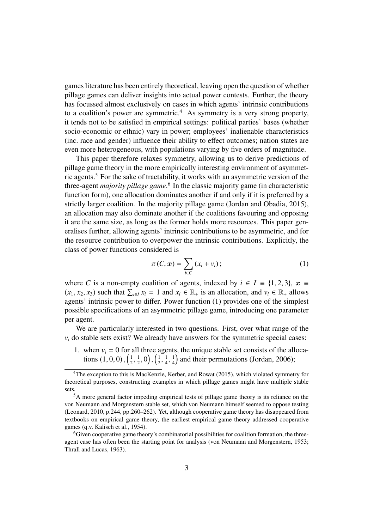games literature has been entirely theoretical, leaving open the question of whether pillage games can deliver insights into actual power contests. Further, the theory has focussed almost exclusively on cases in which agents' intrinsic contributions to a coalition's power are symmetric.<sup>4</sup> As symmetry is a very strong property, it tends not to be satisfied in empirical settings: political parties' bases (whether socio-economic or ethnic) vary in power; employees' inalienable characteristics (inc. race and gender) influence their ability to effect outcomes; nation states are even more heterogeneous, with populations varying by five orders of magnitude.

This paper therefore relaxes symmetry, allowing us to derive predictions of pillage game theory in the more empirically interesting environment of asymmetric agents.<sup>5</sup> For the sake of tractability, it works with an asymmetric version of the three-agent *majority pillage game*. 6 In the classic majority game (in characteristic function form), one allocation dominates another if and only if it is preferred by a strictly larger coalition. In the majority pillage game (Jordan and Obadia, 2015), an allocation may also dominate another if the coalitions favouring and opposing it are the same size, as long as the former holds more resources. This paper generalises further, allowing agents' intrinsic contributions to be asymmetric, and for the resource contribution to overpower the intrinsic contributions. Explicitly, the class of power functions considered is

$$
\pi(C, x) = \sum_{i \in C} (x_i + v_i); \qquad (1)
$$

where *C* is a non-empty coalition of agents, indexed by  $i \in I = \{1, 2, 3\}, x \equiv$  $(x_1, x_2, x_3)$  such that  $\sum_{i \in I} x_i = 1$  and  $x_i \in \mathbb{R}_+$  is an allocation, and  $v_i \in \mathbb{R}_+$  allows agents' intrinsic power to differ Power function (1) provides one of the simplest agents' intrinsic power to differ. Power function (1) provides one of the simplest possible specifications of an asymmetric pillage game, introducing one parameter per agent.

We are particularly interested in two questions. First, over what range of the  $v_i$  do stable sets exist? We already have answers for the symmetric special cases:

1. when  $v_i = 0$  for all three agents, the unique stable set consists of the allocations  $(1, 0, 0), (\frac{1}{2})$ 2 , 1  $(\frac{1}{2}, 0)$ ,  $\left(\frac{1}{2}\right)$ 2 , 1 4 , 1  $\frac{1}{4}$  and their permutations (Jordan, 2006);

<sup>&</sup>lt;sup>4</sup>The exception to this is MacKenzie, Kerber, and Rowat (2015), which violated symmetry for theoretical purposes, constructing examples in which pillage games might have multiple stable sets.

 ${}^{5}$ A more general factor impeding empirical tests of pillage game theory is its reliance on the von Neumann and Morgenstern stable set, which von Neumann himself seemed to oppose testing (Leonard, 2010, p.244, pp.260–262). Yet, although cooperative game theory has disappeared from textbooks on empirical game theory, the earliest empirical game theory addressed cooperative games (q.v. Kalisch et al., 1954).

<sup>6</sup>Given cooperative game theory's combinatorial possibilities for coalition formation, the threeagent case has often been the starting point for analysis (von Neumann and Morgenstern, 1953; Thrall and Lucas, 1963).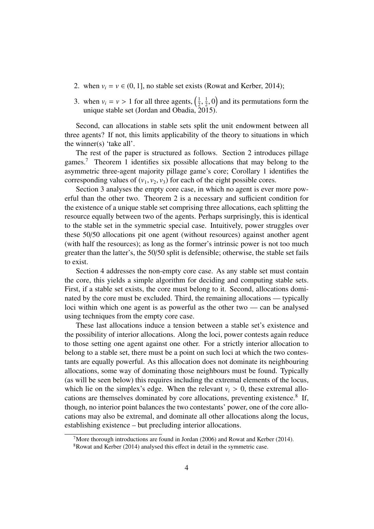- 2. when  $v_i = v \in (0, 1]$ , no stable set exists (Rowat and Kerber, 2014);
- 3. when  $v_i = v > 1$  for all three agents,  $\left(\frac{1}{2}\right)$ <br>unique stable set (Jordan and Obadia) 2 unique stable set (Jordan and Obadia, 2015). 1  $(\frac{1}{2}, 0)$  and its permutations form the

Second, can allocations in stable sets split the unit endowment between all three agents? If not, this limits applicability of the theory to situations in which the winner(s) 'take all'.

The rest of the paper is structured as follows. Section 2 introduces pillage games.<sup>7</sup> Theorem 1 identifies six possible allocations that may belong to the asymmetric three-agent majority pillage game's core; Corollary 1 identifies the corresponding values of  $(v_1, v_2, v_3)$  for each of the eight possible cores.

Section 3 analyses the empty core case, in which no agent is ever more powerful than the other two. Theorem 2 is a necessary and sufficient condition for the existence of a unique stable set comprising three allocations, each splitting the resource equally between two of the agents. Perhaps surprisingly, this is identical to the stable set in the symmetric special case. Intuitively, power struggles over these 50/50 allocations pit one agent (without resources) against another agent (with half the resources); as long as the former's intrinsic power is not too much greater than the latter's, the 50/50 split is defensible; otherwise, the stable set fails to exist.

Section 4 addresses the non-empty core case. As any stable set must contain the core, this yields a simple algorithm for deciding and computing stable sets. First, if a stable set exists, the core must belong to it. Second, allocations dominated by the core must be excluded. Third, the remaining allocations — typically loci within which one agent is as powerful as the other two — can be analysed using techniques from the empty core case.

These last allocations induce a tension between a stable set's existence and the possibility of interior allocations. Along the loci, power contests again reduce to those setting one agent against one other. For a strictly interior allocation to belong to a stable set, there must be a point on such loci at which the two contestants are equally powerful. As this allocation does not dominate its neighbouring allocations, some way of dominating those neighbours must be found. Typically (as will be seen below) this requires including the extremal elements of the locus, which lie on the simplex's edge. When the relevant  $v_i > 0$ , these extremal allocations are themselves dominated by core allocations, preventing existence.<sup>8</sup> If, though, no interior point balances the two contestants' power, one of the core allocations may also be extremal, and dominate all other allocations along the locus, establishing existence – but precluding interior allocations.

<sup>&</sup>lt;sup>7</sup>More thorough introductions are found in Jordan (2006) and Rowat and Kerber (2014).

 $8$ Rowat and Kerber (2014) analysed this effect in detail in the symmetric case.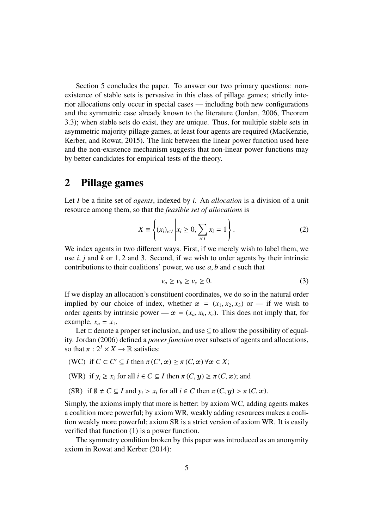Section 5 concludes the paper. To answer our two primary questions: nonexistence of stable sets is pervasive in this class of pillage games; strictly interior allocations only occur in special cases — including both new configurations and the symmetric case already known to the literature (Jordan, 2006, Theorem 3.3); when stable sets do exist, they are unique. Thus, for multiple stable sets in asymmetric majority pillage games, at least four agents are required (MacKenzie, Kerber, and Rowat, 2015). The link between the linear power function used here and the non-existence mechanism suggests that non-linear power functions may by better candidates for empirical tests of the theory.

#### 2 Pillage games

Let *I* be a finite set of *agents*, indexed by *i*. An *allocation* is a division of a unit resource among them, so that the *feasible set of allocations* is

$$
X \equiv \left\{ (x_i)_{i \in I} \middle| x_i \ge 0, \sum_{i \in I} x_i = 1 \right\}.
$$
 (2)

We index agents in two different ways. First, if we merely wish to label them, we use *<sup>i</sup>*, *<sup>j</sup>* and *<sup>k</sup>* or 1, 2 and 3. Second, if we wish to order agents by their intrinsic contributions to their coalitions' power, we use *<sup>a</sup>*, *<sup>b</sup>* and *<sup>c</sup>* such that

$$
v_a \ge v_b \ge v_c \ge 0. \tag{3}
$$

If we display an allocation's constituent coordinates, we do so in the natural order implied by our choice of index, whether  $x = (x_1, x_2, x_3)$  or — if we wish to order agents by intrinsic power —  $x = (x_a, x_b, x_c)$ . This does not imply that, for example,  $x_a = x_1$ .

Let ⊂ denote a proper set inclusion, and use ⊆ to allow the possibility of equality. Jordan (2006) defined a *power function* over subsets of agents and allocations, so that  $\pi : 2^I \times X \to \mathbb{R}$  satisfies:

(WC) if 
$$
C \subset C' \subseteq I
$$
 then  $\pi(C', x) \ge \pi(C, x) \forall x \in X$ ;

(WR) if 
$$
y_i \ge x_i
$$
 for all  $i \in C \subseteq I$  then  $\pi(C, y) \ge \pi(C, x)$ ; and

(SR) if  $\emptyset \neq C \subseteq I$  and  $y_i > x_i$  for all  $i \in C$  then  $\pi(C, y) > \pi(C, x)$ .

Simply, the axioms imply that more is better: by axiom WC, adding agents makes a coalition more powerful; by axiom WR, weakly adding resources makes a coalition weakly more powerful; axiom SR is a strict version of axiom WR. It is easily verified that function (1) is a power function.

The symmetry condition broken by this paper was introduced as an anonymity axiom in Rowat and Kerber (2014):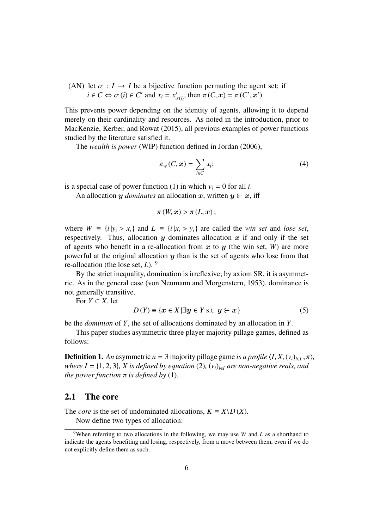(AN) let  $\sigma : I \to I$  be a bijective function permuting the agent set; if  $i \in C \Leftrightarrow \sigma(i) \in C'$  and  $x_i = x'_i$  $_{\sigma(i)}'$ , then  $\pi(C, x) = \pi(C', x')$ .

This prevents power depending on the identity of agents, allowing it to depend merely on their cardinality and resources. As noted in the introduction, prior to MacKenzie, Kerber, and Rowat (2015), all previous examples of power functions studied by the literature satisfied it.

The *wealth is power* (WIP) function defined in Jordan (2006),

$$
\pi_w(C, x) = \sum_{i \in C} x_i;
$$
 (4)

is a special case of power function (1) in which  $v_i = 0$  for all *i*.

An allocation y *dominates* an allocation x, written  $y \in x$ , iff

$$
\pi(W, x) > \pi(L, x);
$$

where  $W \equiv \{i \mid y_i > x_i\}$  and  $L \equiv \{i \mid x_i > y_i\}$  are called the *win set* and *lose set*, respectively. Thus, allocation  $y$  dominates allocation  $x$  if and only if the set of agents who benefit in a re-allocation from  $x$  to  $y$  (the win set,  $W$ ) are more powerful at the original allocation  $y$  than is the set of agents who lose from that re-allocation (the lose set, *L*). <sup>9</sup>

By the strict inequality, domination is irreflexive; by axiom SR, it is asymmetric. As in the general case (von Neumann and Morgenstern, 1953), dominance is not generally transitive.

For  $Y \subset X$ , let

$$
D(Y) \equiv \{x \in X | \exists y \in Y \text{ s.t. } y \succcurlyeq x\}
$$
\n
$$
(5)
$$

be the *dominion* of *Y*, the set of allocations dominated by an allocation in *Y*.

This paper studies asymmetric three player majority pillage games, defined as follows:

**Definition 1.** An asymmetric  $n = 3$  majority pillage game *is a profile*  $\langle I, X, (v_i)_{i \in I}, \pi \rangle$ , where  $I = \{1, 2, 3\}$ , *X is defined by equation* (2)  $(v_i)_{i \in I}$  are non-negative reals, and *where I* = {1, 2, 3}*, X is defined by equation* (2)*,*  $(v_i)_{i \in I}$  *are non-negative reals, and the power function*  $\pi$  *is defined by* (1).

#### 2.1 The core

The *core* is the set of undominated allocations,  $K \equiv X \backslash D(X)$ . Now define two types of allocation:

<sup>&</sup>lt;sup>9</sup>When referring to two allocations in the following, we may use *W* and *L* as a shorthand to indicate the agents benefiting and losing, respectively, from a move between them, even if we do not explicitly define them as such.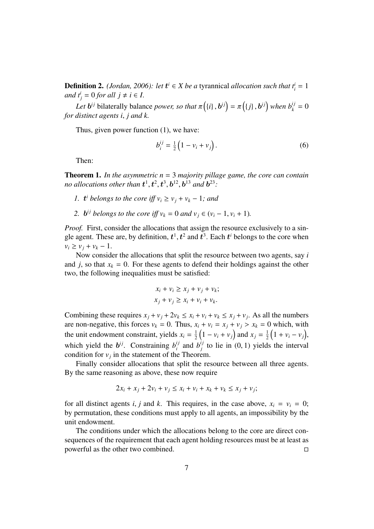**Definition 2.** *(Jordan, 2006): let*  $t^i \in X$  *be a* tyrannical *allocation such that*  $t^i_i = 1$ *and*  $t_j^i = 0$  *for all*  $j \neq i \in I$ .

*Let*  $\mathbf{b}^{ij}$  bilaterally balance *power, so that*  $\pi(\{i\}, \mathbf{b}^{ij}) = \pi(\{j\}, \mathbf{b}^{ij})$  when  $b_k^{ij} = 0$  distinct gents *i i* and *k for distinct agents i*, *j and k.*

Thus, given power function (1), we have:

$$
b_i^{ij} = \frac{1}{2} (1 - v_i + v_j).
$$
 (6)

Then:

Theorem 1. *In the asymmetric n* = 3 *majority pillage game, the core can contain* no allocations other than  $t^1, t^2, t^3, b^{12}, b^{13}$  and  $b^{23}$ :

- *1.*  $t^{i}$  *belongs to the core iff*  $v_{i} \ge v_{j} + v_{k} 1$ *; and*
- 2. *b*<sup>*i*</sup> *belongs to the core iff*  $v_k = 0$  *and*  $v_j \in (v_i 1, v_i + 1)$ *.*

*Proof.* First, consider the allocations that assign the resource exclusively to a single agent. These are, by definition,  $t^1$ ,  $t^2$  and  $t^3$ . Each  $t^i$  belongs to the core when  $v_i \ge v_i + v_k - 1$ .

Now consider the allocations that split the resource between two agents, say *i* and *j*, so that  $x_k = 0$ . For these agents to defend their holdings against the other two, the following inequalities must be satisfied:

$$
x_i + v_i \ge x_j + v_j + v_k;
$$
  

$$
x_j + v_j \ge x_i + v_i + v_k.
$$

Combining these requires  $x_j + v_j + 2v_k \le x_i + v_i + v_k \le x_j + v_j$ . As all the numbers are non-negative, this forces  $v_k = 0$ . Thus,  $x_i + v_i = x_j + v_j > x_k = 0$  which, with the unit endowment constraint, yields  $x_i = \frac{1}{2}$  $\frac{1}{2}(1 - v_i + v_j)$  and  $x_j = \frac{1}{2}$  $\frac{1}{2}(1 + v_i - v_j),$ which yield the  $b^{ij}$ . Constraining  $b^{ij}$  $i_j$  and  $b_j$ <sup>i</sup> <sup>*ij*</sup> to lie in (0, 1) yields the interval condition for  $v_j$  in the statement of the Theorem.

Finally consider allocations that split the resource between all three agents. By the same reasoning as above, these now require

$$
2x_i + x_j + 2v_i + v_j \le x_i + v_i + x_k + v_k \le x_j + v_j;
$$

for all distinct agents *i*, *j* and *k*. This requires, in the case above,  $x_i = v_i = 0$ ; by permutation, these conditions must apply to all agents, an impossibility by the unit endowment.

The conditions under which the allocations belong to the core are direct consequences of the requirement that each agent holding resources must be at least as powerful as the other two combined.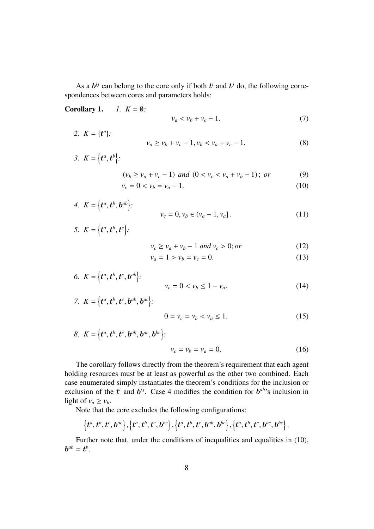As a  $b^{ij}$  can belong to the core only if both  $t^i$  and  $t^j$  do, the following correspondences between cores and parameters holds:

Corollary 1.  $I. K = \emptyset$ :

$$
v_a < v_b + v_c - 1. \tag{7}
$$

- 2.  $K = \{t^a\}$  $v_a \ge v_b + v_c - 1$ ,  $v_b < v_a + v_c - 1$ . (8)
- 3.  $K = \{t^a, t^b\}$ :  $(v_b \ge v_a + v_c - 1)$  and  $(0 < v_c < v_a + v_b - 1)$ ; *or* (9)

$$
v_c = 0 < v_b = v_a - 1. \tag{10}
$$

4. 
$$
K = \{t^a, t^b, b^{ab}\}:
$$
  
 $v_c = 0, v_b \in (v_a - 1, v_a].$  (11)

$$
5. \ \ K=\left\{\boldsymbol{t}^a,\boldsymbol{t}^b,\boldsymbol{t}^c\right\}:
$$

$$
v_c \ge v_a + v_b - 1 \text{ and } v_c > 0; \text{ or } (12)
$$

$$
v_a = 1 > v_b = v_c = 0.
$$
 (13)

6. 
$$
K = \{t^a, t^b, t^c, b^{ab}\}:
$$
  
 $v_c = 0 < v_b \le 1 - v_a.$  (14)

7. 
$$
K = \{t^a, t^b, t^c, b^{ab}, b^{ac}\}
$$
:  
  $0 = v_c = v_b < v_a \le 1.$  (15)

8. 
$$
K = \{t^a, t^b, t^c, b^{ab}, b^{ac}, b^{bc}\}
$$
:  
 $v_c = v_b = v_a = 0.$  (16)

The corollary follows directly from the theorem's requirement that each agent holding resources must be at least as powerful as the other two combined. Each case enumerated simply instantiates the theorem's conditions for the inclusion or exclusion of the  $t^i$  and  $b^{ij}$ . Case 4 modifies the condition for  $b^{ab}$ 's inclusion in light of  $v_a \ge v_b$ .

Note that the core excludes the following configurations:

$$
\left\{ {{\boldsymbol{t}}^a,{\boldsymbol{t}}^b,{\boldsymbol{t}}^c,{\boldsymbol{b}}^{ac}} \right\},\left\{ {{\boldsymbol{t}}^a,{\boldsymbol{t}}^b,{\boldsymbol{t}}^c,{\boldsymbol{b}}^{bc}} \right\},\left\{ {{\boldsymbol{t}}^a,{\boldsymbol{t}}^b,{\boldsymbol{t}}^c,{\boldsymbol{b}}^{ab},{\boldsymbol{b}}^{bc}} \right\},\left\{ {{\boldsymbol{t}}^a,{\boldsymbol{t}}^b,{\boldsymbol{t}}^c,{\boldsymbol{b}}^{ac},{\boldsymbol{b}}^{bc}} \right\}.
$$

Further note that, under the conditions of inequalities and equalities in (10),  $\boldsymbol{b}^{ab} = \boldsymbol{t}^b.$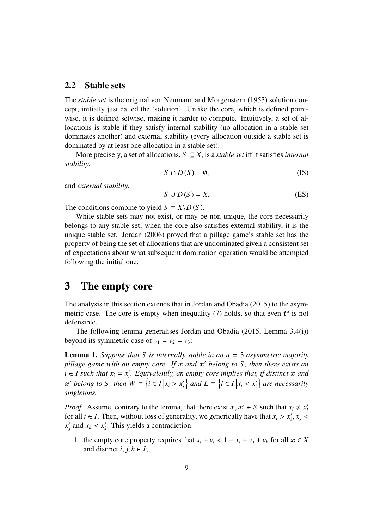#### 2.2 Stable sets

The *stable set* is the original von Neumann and Morgenstern (1953) solution concept, initially just called the 'solution'. Unlike the core, which is defined pointwise, it is defined setwise, making it harder to compute. Intuitively, a set of allocations is stable if they satisfy internal stability (no allocation in a stable set dominates another) and external stability (every allocation outside a stable set is dominated by at least one allocation in a stable set).

More precisely, a set of allocations,  $S \subseteq X$ , is a *stable set* iff it satisfies *internal stability*,

$$
S \cap D(S) = \emptyset; \tag{IS}
$$

and *external stability*,

$$
S \cup D(S) = X. \tag{ES}
$$

The conditions combine to yield  $S \equiv X \backslash D(S)$ .

While stable sets may not exist, or may be non-unique, the core necessarily belongs to any stable set; when the core also satisfies external stability, it is the unique stable set. Jordan (2006) proved that a pillage game's stable set has the property of being the set of allocations that are undominated given a consistent set of expectations about what subsequent domination operation would be attempted following the initial one.

### 3 The empty core

The analysis in this section extends that in Jordan and Obadia (2015) to the asymmetric case. The core is empty when inequality  $(7)$  holds, so that even  $t^a$  is not defensible.

The following lemma generalises Jordan and Obadia (2015, Lemma 3.4(i)) beyond its symmetric case of  $v_1 = v_2 = v_3$ :

Lemma 1. *Suppose that S is internally stable in an n* = 3 *asymmetric majority* pillage game with an empty core. If  $x$  and  $x'$  belong to S, then there exists an  $i \in I$  such that  $x_i = x'_i$ *i . Equivalently, an empty core implies that, if distinct* x *and*  $x'$  belong to *S*, then  $W \equiv \{i \in I | x_i > x'_i\}$  $\{i\}$  and  $L \equiv \{i \in I \mid x_i < x'_i\}$  $\mathcal{C}_i$  are necessarily *singletons.*

*Proof.* Assume, contrary to the lemma, that there exist  $x, x' \in S$  such that  $x_i \neq x'_i$  for all  $i \in I$ . Then, without loss of generality, we generically have that  $x_i > x'$ ,  $x_i$ *i* for all *i* ∈ *I*. Then, without loss of generality, we generically have that  $x_i > x'_i$ <br>*x'* and  $x_i < x'$ . This vields a contradiction:  $x_j$ ,  $x_j$  <  $x_i'$ *j* and  $x_k < x'_k$ *k* . This yields a contradiction:

1. the empty core property requires that  $x_i + v_i < 1 - x_i + v_j + v_k$  for all  $x \in X$ and distinct *i*,  $j, k \in I$ ;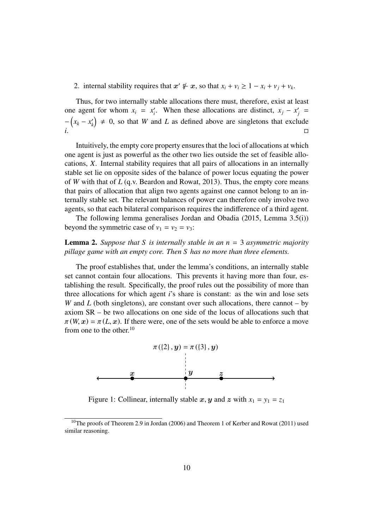2. internal stability requires that  $x' \notin x$ , so that  $x_i + v_i \geq 1 - x_i + v_j + v_k$ .

Thus, for two internally stable allocations there must, therefore, exist at least one agent for whom  $x_i = x'_i$ . When these allocations are distinct,  $x_j - x'_j =$ *i*  $-\left(x_k - x'_k\right)$  $h(k) \neq 0$ , so that *W* and *L* as defined above are singletons that exclude *i*. <u>△</u> △ □

Intuitively, the empty core property ensures that the loci of allocations at which one agent is just as powerful as the other two lies outside the set of feasible allocations, *X*. Internal stability requires that all pairs of allocations in an internally stable set lie on opposite sides of the balance of power locus equating the power of *W* with that of *L* (q.v. Beardon and Rowat, 2013). Thus, the empty core means that pairs of allocation that align two agents against one cannot belong to an internally stable set. The relevant balances of power can therefore only involve two agents, so that each bilateral comparison requires the indifference of a third agent.

The following lemma generalises Jordan and Obadia (2015, Lemma 3.5(i)) beyond the symmetric case of  $v_1 = v_2 = v_3$ :

#### Lemma 2. *Suppose that S is internally stable in an n* = 3 *asymmetric majority pillage game with an empty core. Then S has no more than three elements.*

The proof establishes that, under the lemma's conditions, an internally stable set cannot contain four allocations. This prevents it having more than four, establishing the result. Specifically, the proof rules out the possibility of more than three allocations for which agent *i*'s share is constant: as the win and lose sets *W* and *L* (both singletons), are constant over such allocations, there cannot – by axiom SR – be two allocations on one side of the locus of allocations such that  $\pi(W, x) = \pi(L, x)$ . If there were, one of the sets would be able to enforce a move from one to the other. $10$ 



Figure 1: Collinear, internally stable x, y and z with  $x_1 = y_1 = z_1$ 

<sup>&</sup>lt;sup>10</sup>The proofs of Theorem 2.9 in Jordan (2006) and Theorem 1 of Kerber and Rowat (2011) used similar reasoning.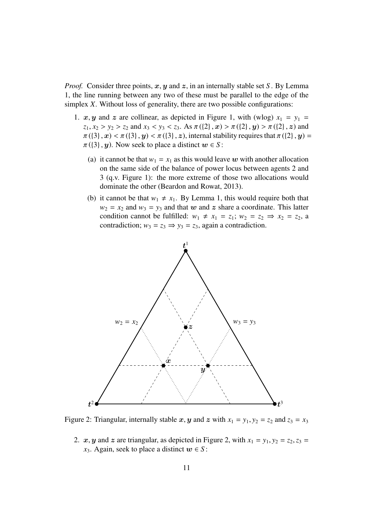*Proof.* Consider three points,  $x, y$  and  $z$ , in an internally stable set *S*. By Lemma 1, the line running between any two of these must be parallel to the edge of the simplex *X*. Without loss of generality, there are two possible configurations:

- 1.  $x, y$  and z are collinear, as depicted in Figure 1, with (wlog)  $x_1 = y_1$  =  $z_1, x_2 > y_2 > z_2$  and  $x_3 < y_3 < z_3$ . As  $\pi({2}, x) > \pi({2}, y) > \pi({2}, z)$  and  $\pi({3}, x) < \pi({3}, y) < \pi({3}, z)$ , internal stability requires that  $\pi({2}, y) =$  $\pi({3}, y)$ . Now seek to place a distinct  $w \in S$ :
	- (a) it cannot be that  $w_1 = x_1$  as this would leave w with another allocation on the same side of the balance of power locus between agents 2 and 3 (q.v. Figure 1): the more extreme of those two allocations would dominate the other (Beardon and Rowat, 2013).
	- (b) it cannot be that  $w_1 \neq x_1$ . By Lemma 1, this would require both that  $w_2 = x_2$  and  $w_3 = y_3$  and that w and z share a coordinate. This latter condition cannot be fulfilled:  $w_1 \neq x_1 = z_1$ ;  $w_2 = z_2 \Rightarrow x_2 = z_2$ , a contradiction;  $w_3 = z_3 \Rightarrow y_3 = z_3$ , again a contradiction.



Figure 2: Triangular, internally stable x, y and z with  $x_1 = y_1$ ,  $y_2 = z_2$  and  $z_3 = x_3$ 

2.  $x, y$  and  $z$  are triangular, as depicted in Figure 2, with  $x_1 = y_1, y_2 = z_2, z_3 =$ *x*<sub>3</sub>. Again, seek to place a distinct  $w \in S$ :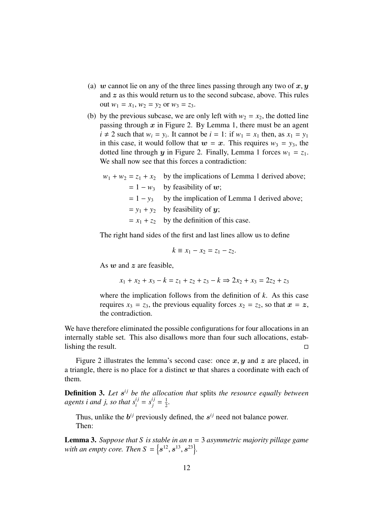- (a) w cannot lie on any of the three lines passing through any two of  $x, y$ and  $z$  as this would return us to the second subcase, above. This rules out  $w_1 = x_1$ ,  $w_2 = y_2$  or  $w_3 = z_3$ .
- (b) by the previous subcase, we are only left with  $w_2 = x_2$ , the dotted line passing through  $x$  in Figure 2. By Lemma 1, there must be an agent  $i \neq 2$  such that  $w_i = y_i$ . It cannot be  $i = 1$ : if  $w_1 = x_1$  then, as  $x_1 = y_1$ in this case, it would follow that  $w = x$ . This requires  $w_3 = y_3$ , the dotted line through y in Figure 2. Finally, Lemma 1 forces  $w_1 = z_1$ . We shall now see that this forces a contradiction:

| $w_1 + w_2 = z_1 + x_2$ by the implications of Lemma 1 derived above; |
|-----------------------------------------------------------------------|
| $= 1 - w_3$ by feasibility of w;                                      |
| $= 1 - y_3$ by the implication of Lemma 1 derived above;              |
| $= y_1 + y_2$ by feasibility of y;                                    |
| $= x_1 + z_2$ by the definition of this case.                         |
|                                                                       |

The right hand sides of the first and last lines allow us to define

$$
k \equiv x_1 - x_2 = z_1 - z_2.
$$

As  $w$  and  $z$  are feasible.

$$
x_1 + x_2 + x_3 - k = z_1 + z_2 + z_3 - k \Rightarrow 2x_2 + x_3 = 2z_2 + z_3
$$

where the implication follows from the definition of *k*. As this case requires  $x_3 = z_3$ , the previous equality forces  $x_2 = z_2$ , so that  $x = z$ , the contradiction.

We have therefore eliminated the possible configurations for four allocations in an internally stable set. This also disallows more than four such allocations, establishing the result.

Figure 2 illustrates the lemma's second case: once  $x, y$  and  $z$  are placed, in a triangle, there is no place for a distinct  $w$  that shares a coordinate with each of them.

**Definition 3.** Let  $s^{ij}$  be the allocation that splits the resource equally between *agents i and j, so that*  $s_i^{ij} = s_j^{ij} = \frac{1}{2}$  $\frac{1}{2}$ .

Thus, unlike the  $b^{ij}$  previously defined, the  $s^{ij}$  need not balance power. Then:

Lemma 3. *Suppose that S is stable in an n* = 3 *asymmetric majority pillage game* with an empty core. Then  $S = \{s^{12}, s^{13}, s^{23}\}.$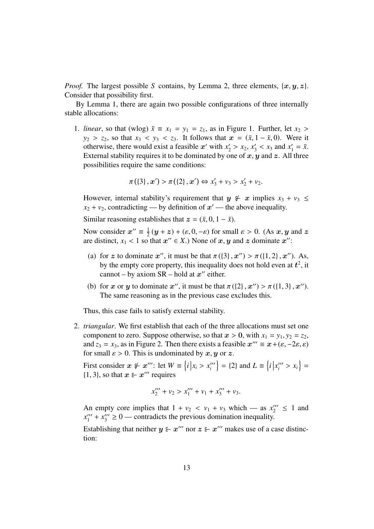*Proof.* The largest possible *S* contains, by Lemma 2, three elements,  $\{x, y, z\}$ . Consider that possibility first.

By Lemma 1, there are again two possible configurations of three internally stable allocations:

1. *linear*, so that (wlog)  $\bar{x} \equiv x_1 = y_1 = z_1$ , as in Figure 1. Further, let  $x_2 >$  $y_2 > z_2$ , so that  $x_3 < y_3 < z_3$ . It follows that  $x = (\bar{x}, 1 - \bar{x}, 0)$ . Were it otherwise, there would exist a feasible x' with  $x'_2 > x_2$ ,  $x'_3 < x_3$  and  $x'_1 = \bar{x}$ .<br>External stability requires it to be dominated by one of x u and z. All three External stability requires it to be dominated by one of  $x, y$  and  $z$ . All three possibilities require the same conditions:

$$
\pi (\{3\}, x') > \pi (\{2\}, x') \Leftrightarrow x'_3 + v_3 > x'_2 + v_2.
$$

However, internal stability's requirement that  $y \notin x$  implies  $x_3 + v_3 \leq$  $x_2 + v_2$ , contradicting — by definition of  $x'$  — the above inequality.

Similar reasoning establishes that  $z = (\bar{x}, 0, 1 - \bar{x})$ .

Now consider  $x'' \equiv \frac{1}{2}$  $\frac{1}{2}(y+z) + (\varepsilon, 0, -\varepsilon)$  for small  $\varepsilon > 0$ . (As  $x, y$  and  $z$ ) that  $x'' \in Y$ . None of  $x, y$  and  $z$  dominate  $x''$ . are distinct,  $x_1 < 1$  so that  $x'' \in X$ .) None of  $x, y$  and  $z$  dominate  $x''$ :

- (a) for z to dominate x'', it must be that  $\pi({3}, x'') > \pi({1, 2}, x'')$ . As,<br>by the empty core property this inequality does not hold even at  $t^2$  it by the empty core property, this inequality does not hold even at  $t^2$ , it cannot – by axiom  $SR$  – hold at  $x''$  either.
- (b) for x or y to dominate x'', it must be that  $\pi({2}, x'') > \pi({1, 3}, x'')$ .<br>The same reasoning as in the previous case excludes this The same reasoning as in the previous case excludes this.

Thus, this case fails to satisfy external stability.

2. *triangular*. We first establish that each of the three allocations must set one component to zero. Suppose otherwise, so that  $x > 0$ , with  $x_1 = y_1, y_2 = z_2$ , and  $z_3 = x_3$ , as in Figure 2. Then there exists a feasible  $x''' \equiv x + (\varepsilon, -2\varepsilon, \varepsilon)$ <br>for small  $\varepsilon > 0$ . This is undominated by  $x, y$  or  $z$ . for small  $\varepsilon > 0$ . This is undominated by x, y or z.

First consider  $x \notin x'''$ : let  $W = \{i \mid x_i > x''_i$ <br> *i*<sup>1</sup> 3) so that  $x \in x'''$  requires  $\{i \mid x''_i \} = \{2\}$  and  $L \equiv \{i \mid x''_i > x_i\} =$  $\{1, 3\}$ , so that  $x \in x^{\prime\prime\prime}$  requires

$$
x_2''' + v_2 > x_1''' + v_1 + x_3''' + v_3.
$$

An empty core implies that  $1 + v_2 < v_1 + v_3$  which — as  $x_2^{\prime\prime\prime} \le 1$  and  $x^{\prime\prime\prime} + x^{\prime\prime\prime} > 0$  — contradicts the previous domination inequality  $x_1^{\prime\prime\prime} + x_3^{\prime\prime\prime} \geq 0$  — contradicts the previous domination inequality.

Establishing that neither  $y \varepsilon x'''$  nor  $z \varepsilon x'''$  makes use of a case distinction: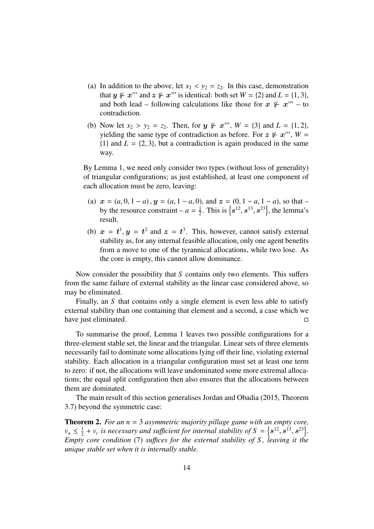- (a) In addition to the above, let  $x_2 < y_2 = z_2$ . In this case, demonstration that  $y \notin x'''$  and  $z \notin x'''$  is identical: both set  $W = \{2\}$  and  $L = \{1, 3\}$ ,<br>and both lead – following calculations like those for  $x \notin x'''$  – to and both lead – following calculations like those for  $x \not\in x'''$  – to contradiction.
- (b) Now let  $x_2 > y_2 = z_2$ . Then, for  $y \notin x'''$ ,  $W = \{3\}$  and  $L = \{1, 2\}$ , vielding the same type of contradiction as before For  $z \notin x'''$ ,  $W =$ yielding the same type of contradiction as before. For  $z \notin x'''$ ,  $W =$  ${1}$  and  $L = {2, 3}$ , but a contradiction is again produced in the same way.

By Lemma 1, we need only consider two types (without loss of generality) of triangular configurations; as just established, at least one component of each allocation must be zero, leaving:

- (a)  $x = (a, 0, 1 a)$ ,  $y = (a, 1 a, 0)$ , and  $z = (0, 1 a, 1 a)$ , so that by the resource constraint –  $a = \frac{1}{2}$  $\frac{1}{2}$ . This is  $\{s^{12}, s^{13}, s^{23}\}$ , the lemma's result.
- (b)  $x = t^1, y = t^2$  and  $z = t^3$ . This, however, cannot satisfy external<br>stability as for any internal feasible allocation, only one agent benefits stability as, for any internal feasible allocation, only one agent benefits from a move to one of the tyrannical allocations, while two lose. As the core is empty, this cannot allow dominance.

Now consider the possibility that *S* contains only two elements. This suffers from the same failure of external stability as the linear case considered above, so may be eliminated.

Finally, an *S* that contains only a single element is even less able to satisfy external stability than one containing that element and a second, a case which we have just eliminated.

To summarise the proof, Lemma 1 leaves two possible configurations for a three-element stable set, the linear and the triangular. Linear sets of three elements necessarily fail to dominate some allocations lying off their line, violating external stability. Each allocation in a triangular configuration must set at least one term to zero: if not, the allocations will leave undominated some more extremal allocations; the equal split configuration then also ensures that the allocations between them are dominated.

The main result of this section generalises Jordan and Obadia (2015, Theorem 3.7) beyond the symmetric case:

Theorem 2. *For an n* = 3 *asymmetric majority pillage game with an empty core,*  $v_a \leq \frac{1}{2}$  $\frac{1}{2} + v_c$  is necessary and sufficient for internal stability of  $S = \{s^{12}, s^{13}, s^{23}\}\$ .<br>  $\frac{1}{2}$  core condition (7) suffices for the external stability of S, leaving it the *Empty core condition* (7) *suffices for the external stability of S, leaving it the unique stable set when it is internally stable.*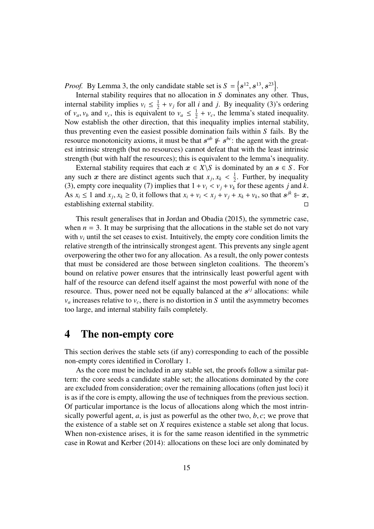*Proof.* By Lemma 3, the only candidate stable set is  $S = \{s^{12}, s^{13}, s^{23}\}\$ .

Internal stability requires that no allocation in *S* dominates any other. Thus, internal stability implies  $v_i \leq \frac{1}{2}$  $\frac{1}{2} + v_j$  for all *i* and *j*. By inequality (3)'s ordering of  $v_a$ ,  $v_b$  and  $v_c$ , this is equivalent to  $v_a \leq \frac{1}{2}$ <br>Now establish the other direction, that this  $\frac{1}{2} + v_c$ , the lemma's stated inequality. Now establish the other direction, that this inequality implies internal stability, thus preventing even the easiest possible domination fails within *S* fails. By the resource monotonicity axioms, it must be that  $s^{ab} \notin s^{bc}$ : the agent with the greatest intrinsic strength (but no resources) cannot defeat that with the least intrinsic strength (but with half the resources); this is equivalent to the lemma's inequality.

External stability requires that each  $x \in X \setminus S$  is dominated by an  $s \in S$ . For any such x there are distinct agents such that  $x_j$ ,  $x_k < \frac{1}{2}$ <br>(3) empty core inequality (7) implies that  $1 + y_i < y_i + y_i$  $\frac{1}{2}$ . Further, by inequality (3), empty core inequality (7) implies that  $1 + v_i < v_j + v_k$  for these agents *j* and *k*. As  $x_i \le 1$  and  $x_j$ ,  $x_k \ge 0$ , it follows that  $x_i + v_i < x_j + v_j + x_k + v_k$ , so that  $s^{jk} \in \mathbf{x}$ , establishing external stability establishing external stability.

This result generalises that in Jordan and Obadia (2015), the symmetric case, when  $n = 3$ . It may be surprising that the allocations in the stable set do not vary with  $v_i$  until the set ceases to exist. Intuitively, the empty core condition limits the relative strength of the intrinsically strongest agent. This prevents any single agent overpowering the other two for any allocation. As a result, the only power contests that must be considered are those between singleton coalitions. The theorem's bound on relative power ensures that the intrinsically least powerful agent with half of the resource can defend itself against the most powerful with none of the resource. Thus, power need not be equally balanced at the  $s^{ij}$  allocations: while  $v_a$  increases relative to  $v_c$ , there is no distortion in *S* until the asymmetry becomes too large, and internal stability fails completely.

### 4 The non-empty core

This section derives the stable sets (if any) corresponding to each of the possible non-empty cores identified in Corollary 1.

As the core must be included in any stable set, the proofs follow a similar pattern: the core seeds a candidate stable set; the allocations dominated by the core are excluded from consideration; over the remaining allocations (often just loci) it is as if the core is empty, allowing the use of techniques from the previous section. Of particular importance is the locus of allocations along which the most intrinsically powerful agent,  $a$ , is just as powerful as the other two,  $b$ ,  $c$ ; we prove that the existence of a stable set on *X* requires existence a stable set along that locus. When non-existence arises, it is for the same reason identified in the symmetric case in Rowat and Kerber (2014): allocations on these loci are only dominated by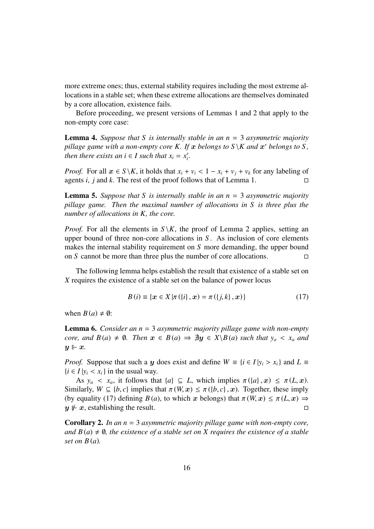more extreme ones; thus, external stability requires including the most extreme allocations in a stable set; when these extreme allocations are themselves dominated by a core allocation, existence fails.

Before proceeding, we present versions of Lemmas 1 and 2 that apply to the non-empty core case:

Lemma 4. *Suppose that S is internally stable in an n* = 3 *asymmetric majority pillage game with a non-empty core K. If*  $x$  *belongs to*  $S \setminus K$  *and*  $x'$  *belongs to*  $S$ *, then there exists an i*  $\in$  *I such that*  $x_i = x_i'$ *i .*

*Proof.* For all  $x \in S \setminus K$ , it holds that  $x_i + v_i < 1 - x_i + v_j + v_k$  for any labeling of agents *i*, *j* and *k*. The rest of the proof follows that of Lemma 1. agents *i*, *j* and *k*. The rest of the proof follows that of Lemma 1.

Lemma 5. *Suppose that S is internally stable in an n* = 3 *asymmetric majority pillage game. Then the maximal number of allocations in S is three plus the number of allocations in K, the core.*

*Proof.* For all the elements in  $S \backslash K$ , the proof of Lemma 2 applies, setting an upper bound of three non-core allocations in *S* . As inclusion of core elements makes the internal stability requirement on *S* more demanding, the upper bound on *S* cannot be more than three plus the number of core allocations.

The following lemma helps establish the result that existence of a stable set on *X* requires the existence of a stable set on the balance of power locus

$$
B(i) \equiv \{x \in X | \pi({i}, x) = \pi({j}, k), x\}
$$
 (17)

when  $B(a) \neq \emptyset$ :

Lemma 6. *Consider an n* = 3 *asymmetric majority pillage game with non-empty core, and*  $B(a) \neq \emptyset$ *. Then*  $x \in B(a) \Rightarrow \nexists y \in X \setminus B(a)$  such that  $y_a < x_a$  and  $y \in x$ .

*Proof.* Suppose that such a y does exist and define  $W = \{i \in I | y_i > x_i\}$  and  $L \equiv$  ${i \in I | y_i < x_i}$  in the usual way.

As  $y_a < x_a$ , it follows that  $\{a\} \subseteq L$ , which implies  $\pi(\{a\}, x) \leq \pi(L, x)$ . Similarly,  $W \subseteq \{b, c\}$  implies that  $\pi(W, x) \leq \pi(\{b, c\}, x)$ . Together, these imply (by equality (17) defining *B*(*a*), to which x belongs) that  $\pi(W, x) \leq \pi(L, x) \Rightarrow$ <br> $u \not\in x$ , establishing the result.  $y \notin x$ , establishing the result.

Corollary 2. *In an n* = 3 *asymmetric majority pillage game with non-empty core, and*  $B(a) \neq \emptyset$ , the existence of a stable set on X requires the existence of a stable *set on B* (*a*)*.*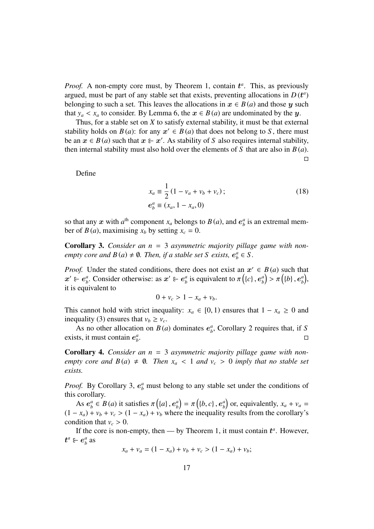*Proof.* A non-empty core must, by Theorem 1, contain  $t^a$ . This, as previously argued, must be part of any stable set that exists, preventing allocations in  $D(t^a)$ belonging to such a set. This leaves the allocations in  $x \in B(a)$  and those y such that  $y_a < x_a$  to consider. By Lemma 6, the  $x \in B(a)$  are undominated by the y.

Thus, for a stable set on *X* to satisfy external stability, it must be that external stability holds on  $B(a)$ : for any  $x' \in B(a)$  that does not belong to *S*, there must be an  $x \in B(a)$  such that  $x \in \mathcal{X}$ . As stability of *S* also requires internal stability, then internal stability must also hold over the elements of *S* that are also in *B* (*a*).  $\Box$ 

Define

$$
x_a \equiv \frac{1}{2} (1 - v_a + v_b + v_c);
$$
  
\n
$$
e_b^a \equiv (x_a, 1 - x_a, 0)
$$
\n(18)

so that any  $x$  with  $a^{\text{th}}$  component  $x_a$  belongs to  $B(a)$ , and  $e^a_b$  $\frac{a}{b}$  is an extremal member of *B*(*a*), maximising  $x_b$  by setting  $x_c = 0$ .

Corollary 3. *Consider an n* = 3 *asymmetric majority pillage game with nonempty core and*  $B(a) \neq \emptyset$ . Then, if a stable set S exists,  $e^a_\beta$  $\frac{a}{b} \in S$ .

*Proof.* Under the stated conditions, there does not exist an  $x' \in B(a)$  such that  $\boldsymbol{x}' \in \boldsymbol{e}^{\mathit{a}}_h$  $\alpha_b^a$ . Consider otherwise: as  $x' \varepsilon$  e<sup>*a*</sup><sub>*b*</sub>  $\frac{a}{b}$  is equivalent to  $\pi\left(\left\{c\right\}, e^a_b\right)$  $\binom{a}{b}$  >  $\pi\left(\left\{b\right\}, \boldsymbol{e}^a_b\right)$ a), it is equivalent to

$$
0 + \nu_c > 1 - x_a + \nu_b.
$$

This cannot hold with strict inequality:  $x_a \in [0, 1)$  ensures that  $1 - x_a \ge 0$  and inequality (3) ensures that  $v_b \ge v_c$ .

As no other allocation on  $B(a)$  dominates  $e^a$ *b* , Corollary 2 requires that, if *S* exists, it must contain e *a b* .

Corollary 4. *Consider an n* = 3 *asymmetric majority pillage game with nonempty core and*  $B(a) \neq \emptyset$ *. Then*  $x_a < 1$  *and*  $v_c > 0$  *imply that no stable set exists.*

*Proof.* By Corollary 3,  $e^a_b$  must belong to any stable set under the conditions of this corollary.

As e *a*  $\alpha_b^a \in B(a)$  it satisfies  $\pi\left(\{a\}, e_b^a\right)$ <br>  $\rightarrow w_1 + w_2 > (1 - x_1) + y_2$  when  $\begin{pmatrix} a \\ b \end{pmatrix} = \pi \left( \{b, c\}, e^a_b \right)$ <br>
expect the inequality  $\binom{a}{b}$  or, equivalently,  $x_a + v_a =$  $(1 - x_a) + v_b + v_c > (1 - x_a) + v_b$  where the inequality results from the corollary's condition that  $v_c > 0$ .

If the core is non-empty, then — by Theorem 1, it must contain  $t^a$ . However,  $\boldsymbol{t}^a \in \boldsymbol{e}^a_b$  $\frac{a}{b}$  as

$$
x_a + v_a = (1 - x_a) + v_b + v_c > (1 - x_a) + v_b;
$$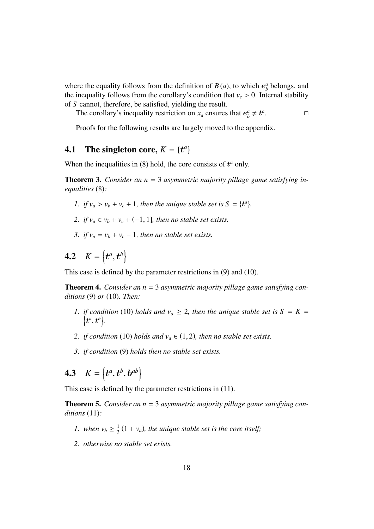where the equality follows from the definition of  $B(a)$ , to which  $e^a<sub>b</sub>$  $\frac{a}{b}$  belongs, and the inequality follows from the corollary's condition that  $v_c > 0$ . Internal stability of *S* cannot, therefore, be satisfied, yielding the result.

The corollary's inequality restriction on  $x_a$  ensures that  $e^a_b \neq t^a$ .<br>. В. П. и С. П. и С. П. и С. П. и С. П. и С. П. и С. П. и С. П. и С. П. и С. П. и С. П. и С. П. и С. П. и С. <br>. П. и С. П. и С. П. и С. П. и С. П. и С. П. и С. П. и С. П. и С. П. и С. П. и С. П. и С. П. и С. П. и С. П.

Proofs for the following results are largely moved to the appendix.

### **4.1** The singleton core,  $K = \{t^a\}$

When the inequalities in  $(8)$  hold, the core consists of  $t^a$  only.

Theorem 3. *Consider an n* = 3 *asymmetric majority pillage game satisfying inequalities* (8)*:*

- *1. if*  $v_a > v_b + v_c + 1$ *, then the unique stable set is*  $S = \{t^a\}$ *.*
- 2. *if*  $v_a \in v_b + v_c + (-1, 1]$ *, then no stable set exists.*
- *3. if*  $v_a = v_b + v_c 1$ *, then no stable set exists.*

# **4.2**  $K = \{t^a, t^b\}$

This case is defined by the parameter restrictions in (9) and (10).

Theorem 4. *Consider an n* = 3 *asymmetric majority pillage game satisfying conditions* (9) *or* (10)*. Then:*

- *1. if condition* (10) *holds and*  $v_a \geq 2$ *, then the unique stable set is*  $S = K =$  $\left\{\boldsymbol{t}^{a},\boldsymbol{t}^{b}\right\}$ .
- *2. if condition* (10) *holds and*  $v_a \in (1, 2)$ *, then no stable set exists.*
- *3. if condition* (9) *holds then no stable set exists.*

**4.3**  $K = \{t^a, t^b, b^{ab}\}$ 

This case is defined by the parameter restrictions in (11).

Theorem 5. *Consider an n* = 3 *asymmetric majority pillage game satisfying conditions* (11)*:*

- *1. when*  $v_b \geq \frac{1}{3}$  $\frac{1}{3}(1 + v_a)$ , the unique stable set is the core itself;
- *2. otherwise no stable set exists.*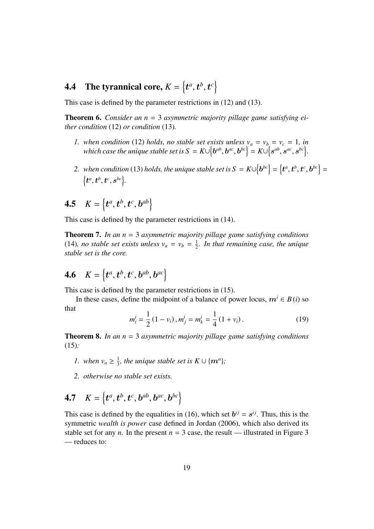# **4.4** The tyrannical core,  $K = \left\{t^a, t^b, t^c\right\}$

This case is defined by the parameter restrictions in (12) and (13).

Theorem 6. *Consider an n* = 3 *asymmetric majority pillage game satisfying either condition* (12) *or condition* (13)*.*

- *1.* when condition (12) holds, no stable set exists unless  $v_a = v_b = v_c = 1$ , in  $which\ case\ the\ unique\ stable\ set\ is\ S\ =\ K\cup\left\{ \boldsymbol{b}^{ab},\boldsymbol{b}^{ac},\boldsymbol{b}^{bc}\right\} =K\cup\left\{ \boldsymbol{s}^{ab},\boldsymbol{s}^{ac},\boldsymbol{s}^{bc}\right\} .$
- 2. *when condition* (13) *holds, the unique stable set is*  $S = K \cup \{b^{bc}\} = \{t^a, t^b, t^c, b^{bc}\} = \{a^{ab}, a^{bc}, b^{bc}\}$  $\left\{\boldsymbol{t}^{a}, \boldsymbol{t}^{b}, \boldsymbol{t}^{c}, \boldsymbol{s}^{bc}\right\}$
- **4.5**  $K = \{t^a, t^b, t^c, b^{ab}\}$

This case is defined by the parameter restrictions in (14).

Theorem 7. *In an n* = 3 *asymmetric majority pillage game satisfying conditions* (14)*, no stable set exists unless*  $v_a = v_b = \frac{1}{2}$ 2 *. In that remaining case, the unique stable set is the core.*

# **4.6**  $K = \{t^a, t^b, t^c, b^{ab}, b^{ac}\}$

This case is defined by the parameter restrictions in (15).

In these cases, define the midpoint of a balance of power locus,  $m^i \in B(i)$  so that

$$
m_i^i = \frac{1}{2} (1 - v_i), m_j^i = m_k^i = \frac{1}{4} (1 + v_i).
$$
 (19)

Theorem 8. *In an n* = 3 *asymmetric majority pillage game satisfying conditions* (15)*:*

- *1. when*  $v_a \geq \frac{1}{3}$  $\frac{1}{3}$ *, the unique stable set is*  $K \cup \{m^a\}$ *;*
- *2. otherwise no stable set exists.*

$$
4.7 \quad K = \left\{ t^a, t^b, t^c, b^{ab}, b^{ac}, b^{bc} \right\}
$$

This case is defined by the equalities in (16), which set  $b^{ij} = s^{ij}$ . Thus, this is the symmetric *wealth is power* case defined in Jordan (2006), which also derived its stable set for any *n*. In the present  $n = 3$  case, the result — illustrated in Figure 3 — reduces to: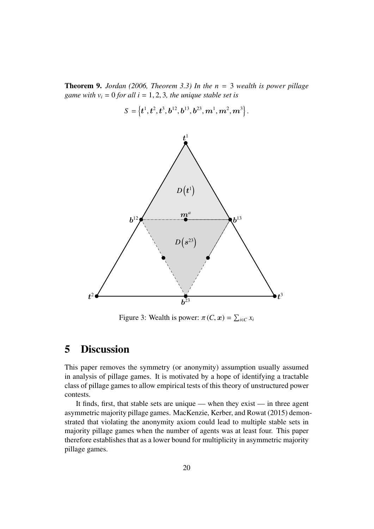Theorem 9. *Jordan (2006, Theorem 3.3) In the n* = 3 *wealth is power pillage game with*  $v_i = 0$  *for all i* = 1, 2, 3, *the unique stable set is* 

$$
S = \left\{ \boldsymbol{t}^{1}, \boldsymbol{t}^{2}, \boldsymbol{t}^{3}, \boldsymbol{b}^{12}, \boldsymbol{b}^{13}, \boldsymbol{b}^{23}, \boldsymbol{m}^{1}, \boldsymbol{m}^{2}, \boldsymbol{m}^{3} \right\}.
$$



Figure 3: Wealth is power:  $\pi$  (*C*, *x*) =  $\sum_{i \in C} x_i$ 

## 5 Discussion

This paper removes the symmetry (or anonymity) assumption usually assumed in analysis of pillage games. It is motivated by a hope of identifying a tractable class of pillage games to allow empirical tests of this theory of unstructured power contests.

It finds, first, that stable sets are unique — when they exist — in three agent asymmetric majority pillage games. MacKenzie, Kerber, and Rowat (2015) demonstrated that violating the anonymity axiom could lead to multiple stable sets in majority pillage games when the number of agents was at least four. This paper therefore establishes that as a lower bound for multiplicity in asymmetric majority pillage games.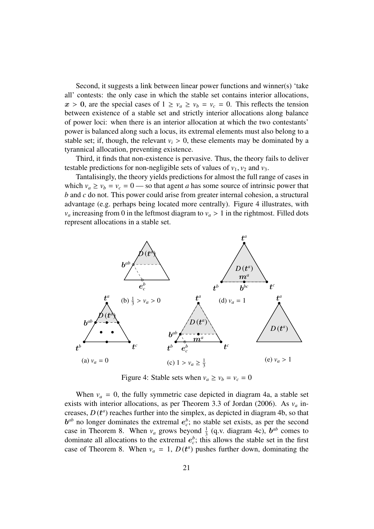Second, it suggests a link between linear power functions and winner(s) 'take all' contests: the only case in which the stable set contains interior allocations,  $x > 0$ , are the special cases of  $1 \ge v_a \ge v_b = v_c = 0$ . This reflects the tension between existence of a stable set and strictly interior allocations along balance of power loci: when there is an interior allocation at which the two contestants' power is balanced along such a locus, its extremal elements must also belong to a stable set; if, though, the relevant  $v_i > 0$ , these elements may be dominated by a tyrannical allocation, preventing existence.

Third, it finds that non-existence is pervasive. Thus, the theory fails to deliver testable predictions for non-negligible sets of values of  $v_1$ ,  $v_2$  and  $v_3$ .

Tantalisingly, the theory yields predictions for almost the full range of cases in which  $v_a \ge v_b = v_c = 0$  — so that agent *a* has some source of intrinsic power that *b* and *c* do not. This power could arise from greater internal cohesion, a structural advantage (e.g. perhaps being located more centrally). Figure 4 illustrates, with  $v_a$  increasing from 0 in the leftmost diagram to  $v_a > 1$  in the rightmost. Filled dots represent allocations in a stable set.



Figure 4: Stable sets when  $v_a \ge v_b = v_c = 0$ 

When  $v_a = 0$ , the fully symmetric case depicted in diagram 4a, a stable set exists with interior allocations, as per Theorem 3.3 of Jordan (2006). As  $v_a$  increases,  $D(t^a)$  reaches further into the simplex, as depicted in diagram 4b, so that  $b^{ab}$  no longer dominates the extremal  $e_c^b$ ; no stable set exists, as per the second case in Theorem 8. When  $v_a$  grows beyond  $\frac{1}{3}$  (q.v. diagram 4c),  $b^{ab}$  comes to dominate all allocations to the extremal  $e_c^b$ ; this allows the stable set in the first case of Theorem 8. When  $v_a = 1$ ,  $D(t^a)$  pushes further down, dominating the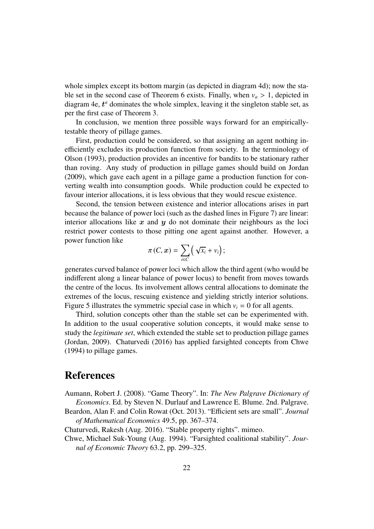whole simplex except its bottom margin (as depicted in diagram 4d); now the stable set in the second case of Theorem 6 exists. Finally, when  $v_a > 1$ , depicted in diagram  $4e$ ,  $t^a$  dominates the whole simplex, leaving it the singleton stable set, as per the first case of Theorem 3.

In conclusion, we mention three possible ways forward for an empiricallytestable theory of pillage games.

First, production could be considered, so that assigning an agent nothing inefficiently excludes its production function from society. In the terminology of Olson (1993), production provides an incentive for bandits to be stationary rather than roving. Any study of production in pillage games should build on Jordan (2009), which gave each agent in a pillage game a production function for converting wealth into consumption goods. While production could be expected to favour interior allocations, it is less obvious that they would rescue existence.

Second, the tension between existence and interior allocations arises in part because the balance of power loci (such as the dashed lines in Figure 7) are linear: interior allocations like  $x$  and  $y$  do not dominate their neighbours as the loci restrict power contests to those pitting one agent against another. However, a power function like

$$
\pi(C, x) = \sum_{i \in C} \left( \sqrt{x_i} + v_i \right);
$$

generates curved balance of power loci which allow the third agent (who would be indifferent along a linear balance of power locus) to benefit from moves towards the centre of the locus. Its involvement allows central allocations to dominate the extremes of the locus, rescuing existence and yielding strictly interior solutions. Figure 5 illustrates the symmetric special case in which  $v_i = 0$  for all agents.

Third, solution concepts other than the stable set can be experimented with. In addition to the usual cooperative solution concepts, it would make sense to study the *legitimate set*, which extended the stable set to production pillage games (Jordan, 2009). Chaturvedi (2016) has applied farsighted concepts from Chwe (1994) to pillage games.

#### References

Aumann, Robert J. (2008). "Game Theory". In: *The New Palgrave Dictionary of Economics*. Ed. by Steven N. Durlauf and Lawrence E. Blume. 2nd. Palgrave.

- Beardon, Alan F. and Colin Rowat (Oct. 2013). "Efficient sets are small". *Journal of Mathematical Economics* 49.5, pp. 367–374.
- Chaturvedi, Rakesh (Aug. 2016). "Stable property rights". mimeo.
- Chwe, Michael Suk-Young (Aug. 1994). "Farsighted coalitional stability". *Journal of Economic Theory* 63.2, pp. 299–325.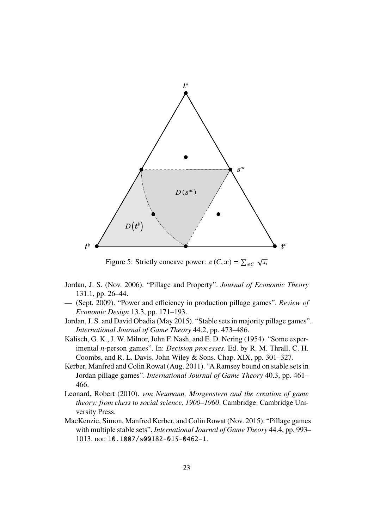

Figure 5: Strictly concave power:  $\pi(C, x) = \sum_{i \in C}$ *xi*

- Jordan, J. S. (Nov. 2006). "Pillage and Property". *Journal of Economic Theory* 131.1, pp. 26–44.
- (Sept. 2009). "Power and efficiency in production pillage games". *Review of Economic Design* 13.3, pp. 171–193.
- Jordan, J. S. and David Obadia (May 2015). "Stable sets in majority pillage games". *International Journal of Game Theory* 44.2, pp. 473–486.
- Kalisch, G. K., J. W. Milnor, John F. Nash, and E. D. Nering (1954). "Some experimental *n*-person games". In: *Decision processes*. Ed. by R. M. Thrall, C. H. Coombs, and R. L. Davis. John Wiley & Sons. Chap. XIX, pp. 301–327.
- Kerber, Manfred and Colin Rowat (Aug. 2011). "A Ramsey bound on stable sets in Jordan pillage games". *International Journal of Game Theory* 40.3, pp. 461– 466.
- Leonard, Robert (2010). *von Neumann, Morgenstern and the creation of game theory: from chess to social science, 1900–1960*. Cambridge: Cambridge University Press.
- MacKenzie, Simon, Manfred Kerber, and Colin Rowat (Nov. 2015). "Pillage games with multiple stable sets". *International Journal of Game Theory* 44.4, pp. 993– 1013. doi: 10.1007/s00182-015-0462-1.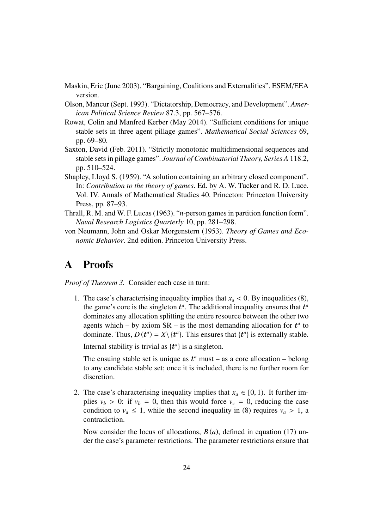- Maskin, Eric (June 2003). "Bargaining, Coalitions and Externalities". ESEM/EEA version.
- Olson, Mancur (Sept. 1993). "Dictatorship, Democracy, and Development". *American Political Science Review* 87.3, pp. 567–576.
- Rowat, Colin and Manfred Kerber (May 2014). "Sufficient conditions for unique stable sets in three agent pillage games". *Mathematical Social Sciences* 69, pp. 69–80.
- Saxton, David (Feb. 2011). "Strictly monotonic multidimensional sequences and stable sets in pillage games". *Journal of Combinatorial Theory, Series A* 118.2, pp. 510–524.
- Shapley, Lloyd S. (1959). "A solution containing an arbitrary closed component". In: *Contribution to the theory of games*. Ed. by A. W. Tucker and R. D. Luce. Vol. IV. Annals of Mathematical Studies 40. Princeton: Princeton University Press, pp. 87–93.
- Thrall, R. M. and W. F. Lucas (1963). "*n*-person games in partition function form". *Naval Research Logistics Quarterly* 10, pp. 281–298.
- von Neumann, John and Oskar Morgenstern (1953). *Theory of Games and Economic Behavior*. 2nd edition. Princeton University Press.

### A Proofs

*Proof of Theorem 3.* Consider each case in turn:

1. The case's characterising inequality implies that  $x_a < 0$ . By inequalities (8), the game's core is the singleton  $t^a$ . The additional inequality ensures that  $t^a$ dominates any allocation splitting the entire resource between the other two agents which – by axiom  $SR -$  is the most demanding allocation for  $t^a$  to dominate. Thus,  $D(t^a) = X \setminus \{t^a\}$ . This ensures that  $\{t^a\}$  is externally stable.

Internal stability is trivial as  $\{t^a\}$  is a singleton.

The ensuing stable set is unique as  $t^a$  must – as a core allocation – belong to any candidate stable set; once it is included, there is no further room for discretion.

2. The case's characterising inequality implies that  $x_a \in [0, 1)$ . It further implies  $v_b > 0$ : if  $v_b = 0$ , then this would force  $v_c = 0$ , reducing the case condition to  $v_a \leq 1$ , while the second inequality in (8) requires  $v_a > 1$ , a contradiction.

Now consider the locus of allocations, *B* (*a*), defined in equation (17) under the case's parameter restrictions. The parameter restrictions ensure that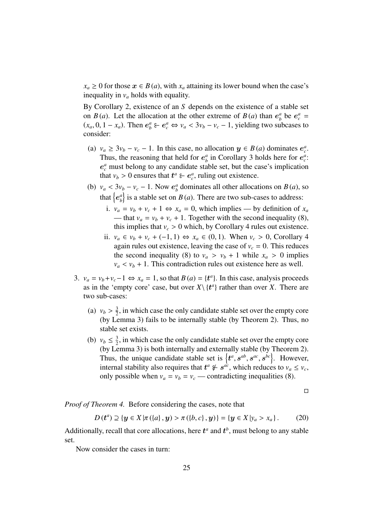$x_a \geq 0$  for those  $x \in B(a)$ , with  $x_a$  attaining its lower bound when the case's inequality in  $v_a$  holds with equality.

By Corollary 2, existence of an *S* depends on the existence of a stable set on *B*(*a*). Let the allocation at the other extreme of *B*(*a*) than  $e^a$  $\frac{a}{b}$  be  $e_c^a$  =  $(x_a, 0, 1 - x_a)$ . Then  $e^a_b \varepsilon \in e^a_c \Leftrightarrow v_a < 3v_b - v_c - 1$ , yielding two subcases to consider: consider:

- (a)  $v_a \ge 3v_b v_c 1$ . In this case, no allocation  $y \in B(a)$  dominates  $e_c^a$ . Thus, the reasoning that held for  $e_h^a$  $\frac{a}{b}$  in Corollary 3 holds here for  $e_c^a$ .  $e_c^a$  must belong to any candidate stable set, but the case's implication that  $v_b > 0$  ensures that  $t^a \varepsilon \in e_c^a$ , ruling out existence.
- (b)  $v_a < 3v_b v_c 1$ . Now  $e_b^a$ <br>that  $\left[ a^a \right]$  is a stable ast and  $b<sub>b</sub>$  dominates all other allocations on *B* (*a*), so that  $\{e^a_b\}$  $\begin{bmatrix} a \\ b \end{bmatrix}$  is a stable set on *B*(*a*). There are two sub-cases to address:
	- i.  $v_a = v_b + v_c + 1 \Leftrightarrow x_a = 0$ , which implies by definition of  $x_a$ — that  $v_a = v_b + v_c + 1$ . Together with the second inequality (8), this implies that  $v_c > 0$  which, by Corollary 4 rules out existence.
	- ii.  $v_a \in v_b + v_c + (-1, 1) \Leftrightarrow x_a \in (0, 1)$ . When  $v_c > 0$ , Corollary 4 again rules out existence, leaving the case of  $v_c = 0$ . This reduces the second inequality (8) to  $v_a > v_b + 1$  while  $x_a > 0$  implies  $v_a < v_b + 1$ . This contradiction rules out existence here as well.
- 3.  $v_a = v_b + v_c 1 \Leftrightarrow x_a = 1$ , so that  $B(a) = \{t^a\}$ . In this case, analysis proceeds as in the 'empty core' case, but over  $X \setminus \{t^a\}$  rather than over *X*. There are two sub-cases:
	- (a)  $v_b > \frac{3}{2}$ <br>(by Le  $\frac{3}{2}$ , in which case the only candidate stable set over the empty core (by Lemma 3) fails to be internally stable (by Theorem 2). Thus, no stable set exists.
	- (b)  $v_b \leq \frac{3}{2}$  $\frac{3}{2}$ , in which case the only candidate stable set over the empty core (by Lemma 3) is both internally and externally stable (by Theorem 2). Thus, the unique candidate stable set is  $\{t^a, s^{ab}, s^{ac}, s^{bc}\}$ . However, internal stability also requires that  $t^a \leq s^{ac}$  which reduces to  $y \leq y$ . internal stability also requires that  $t^a \notin s^{a\dot{c}}$ , which reduces to  $v_a \leq v_c$ , only possible when  $v_a = v_b = v_c$  — contradicting inequalities (8).

$$
\Box
$$

*Proof of Theorem 4.* Before considering the cases, note that

$$
D(t^{a}) \supseteq \{y \in X | \pi(\{a\}, y) > \pi(\{b, c\}, y)\} = \{y \in X | y_{a} > x_{a}\}. \tag{20}
$$

Additionally, recall that core allocations, here  $t^a$  and  $t^b$ , must belong to any stable set.

Now consider the cases in turn: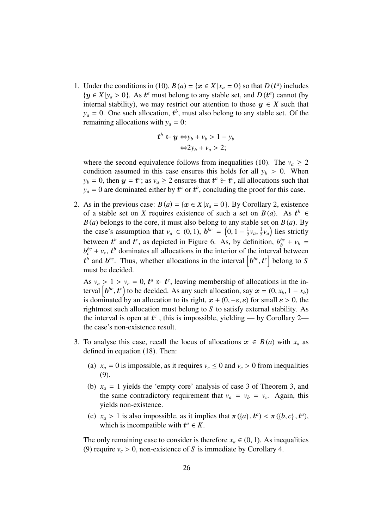1. Under the conditions in (10),  $B(a) = \{x \in X | x_a = 0\}$  so that  $D(t^a)$  includes  ${y \in X | y_a > 0}$ . As  $t^a$  must belong to any stable set, and  $D(t^a)$  cannot (by internal stability), we may restrict our attention to those  $y \in X$  such that internal stability), we may restrict our attention to those  $y \in X$  such that  $y_a = 0$ . One such allocation,  $t^b$ , must also belong to any stable set. Of the remaining allocations with  $y_a = 0$ :

$$
t^{b} \varepsilon \mathbf{y} \Leftrightarrow y_{b} + v_{b} > 1 - y_{b}
$$
  

$$
\Leftrightarrow 2y_{b} + v_{a} > 2;
$$

where the second equivalence follows from inequalities (10). The  $v_a \geq 2$ condition assumed in this case ensures this holds for all  $y_b > 0$ . When  $y_b = 0$ , then  $y = t^c$ ; as  $v_a \ge 2$  ensures that  $t^a \in t^c$ , all allocations such that  $y_a = 0$  are dominated either by  $t^a$  or  $t^b$ , concluding the proof for this case.

2. As in the previous case:  $B(a) = \{x \in X | x_a = 0\}$ . By Corollary 2, existence of a stable set on *X* requires existence of such a set on  $B(a)$ . As  $t^b \in$  $B(a)$  belongs to the core, it must also belong to any stable set on  $B(a)$ . By the case's assumption that  $v_a \in (0, 1)$ ,  $b^{bc} = (0, 1 - \frac{1}{2})$  $\frac{1}{2}v_a$ ,  $\frac{1}{2}$  $(\frac{1}{2}v_a)$  lies strictly between  $t^b$  and  $t^c$ , as depicted in Figure 6. As, by definition,  $b_b^{bc} + v_b =$  $b_c^{bc}$  + *v<sub>c</sub>*,  $t^b$  dominates all allocations in the interior of the interval between  $t^b$  and  $b^{bc}$ . Thus, whether allocations in the interval  $[b^{bc}, t^c]$  belong to *S* must be decided must be decided.

As  $v_a > 1 > v_c = 0$ ,  $t^a \in t^c$ , leaving membership of allocations in the in-<br>terval  $\left[b^{bc}, t^c\right]$  to be decided. As any such allocation, say  $x = (0, x, 1 - x)$ . terval  $\left[ b^{bc}, t^c \right)$  to be decided. As any such allocation, say  $x = (0, x_b, 1 - x_b)$ <br>is dominated by an allocation to its right  $x + (0 - \epsilon \, s)$  for small  $s > 0$ , the is dominated by an allocation to its right,  $x + (0, -\varepsilon, \varepsilon)$  for small  $\varepsilon > 0$ , the rightmost such allocation must belong to *S* to satisfy external stability. As the interval is open at  $t^c$ , this is impossible, yielding — by Corollary 2 the case's non-existence result.

- 3. To analyse this case, recall the locus of allocations  $x \in B(a)$  with  $x_a$  as defined in equation (18). Then:
	- (a)  $x_a = 0$  is impossible, as it requires  $v_c \le 0$  and  $v_c > 0$  from inequalities (9).
	- (b)  $x_a = 1$  yields the 'empty core' analysis of case 3 of Theorem 3, and the same contradictory requirement that  $v_a = v_b = v_c$ . Again, this yields non-existence.
	- (c)  $x_a > 1$  is also impossible, as it implies that  $\pi({a}, t^a) < \pi({b}, c, t^a)$ ,<br>which is incompatible with  $t^a \in K$ which is incompatible with  $t^a \in K$ .

The only remaining case to consider is therefore  $x_a \in (0, 1)$ . As inequalities (9) require  $v_c > 0$ , non-existence of *S* is immediate by Corollary 4.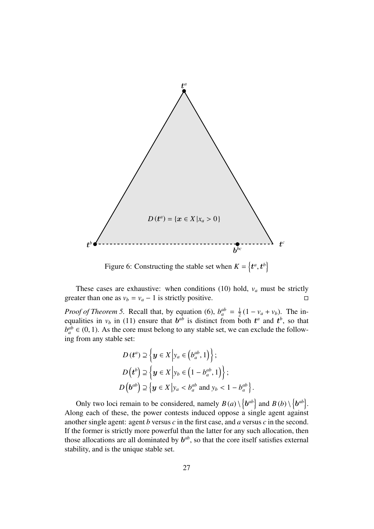

Figure 6: Constructing the stable set when  $K = \{t^a, t^b\}$ 

These cases are exhaustive: when conditions (10) hold,  $v_a$  must be strictly greater than one as  $v_b = v_a - 1$  is strictly positive.

*Proof of Theorem 5.* Recall that, by equation (6),  $b_a^{ab} = \frac{1}{2}$  $\frac{1}{2}(1 - v_a + v_b)$ . The inequalities in  $v_b$  in (11) ensure that  $b^{ab}$  is distinct from both  $t^a$  and  $t^b$ , so that  $b_a^{ab} \in (0, 1)$ . As the core must belong to any stable set, we can exclude the following from any stable set:

$$
D(t^a) \supseteq \left\{ y \in X \middle| y_a \in (b_a^{ab}, 1) \right\};
$$
  
\n
$$
D(t^b) \supseteq \left\{ y \in X \middle| y_b \in (1 - b_a^{ab}, 1) \right\};
$$
  
\n
$$
D(b^{ab}) \supseteq \left\{ y \in X \middle| y_a < b_a^{ab} \text{ and } y_b < 1 - b_a^{ab} \right\}
$$

Only two loci remain to be considered, namely  $B(a) \setminus \{b^{ab}\}\$ and  $B(b) \setminus \{b^{ab}\}\$ . Along each of these, the power contests induced oppose a single agent against another single agent: agent *b* versus *c* in the first case, and *a* versus *c* in the second. If the former is strictly more powerful than the latter for any such allocation, then those allocations are all dominated by  $b^{ab}$ , so that the core itself satisfies external stability, and is the unique stable set.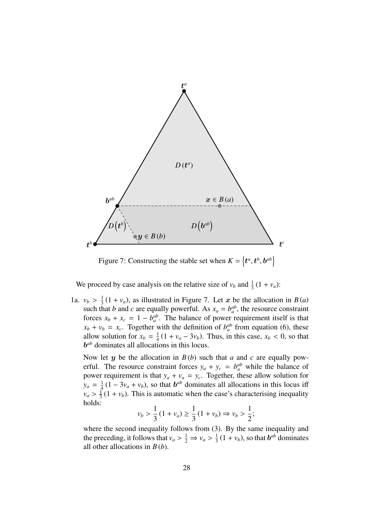

Figure 7: Constructing the stable set when  $K = \{t^a, t^b, b^{ab}\}$ 

We proceed by case analysis on the relative size of  $v_b$  and  $\frac{1}{3}(1 + v_a)$ :

1a.  $v_b > \frac{1}{3}(1 + v_a)$ , as illustrated in Figure 7. Let x be the allocation in *B*(*a*) such that *b* and *c* are equally powerful. As  $x - b^{ab}$  the resource constraint such that *b* and *c* are equally powerful. As  $x_a = b_a^{ab}$ , the resource constraint forces  $x_b + x_c = 1 - b_a^{ab}$ . The balance of power requirement itself is that  $x_b + v_b = x_c$ . Together with the definition of  $b_a^{ab}$  from equation (6), these allow solution for  $x_b = \frac{1}{4}$  $\frac{1}{4}(1 + v_a - 3v_b)$ . Thus, in this case,  $x_b < 0$ , so that b *ab* dominates all allocations in this locus.

Now let  $y$  be the allocation in  $B(b)$  such that  $a$  and  $c$  are equally powerful. The resource constraint forces  $y_a + y_c = b_a^{ab}$  while the balance of power requirement is that  $y_a + v_a = y_c$ . Together, these allow solution for  $y_a = \frac{1}{4}$  $\frac{1}{4}(1-3v_a+v_b)$ , so that  $b^{ab}$  dominates all allocations in this locus iff  $v_a > \frac{1}{3}$ <br>holds:  $\frac{1}{3}(1 + v_b)$ . This is automatic when the case's characterising inequality holds:

$$
v_b > \frac{1}{3}(1 + v_a) \ge \frac{1}{3}(1 + v_b) \Rightarrow v_b > \frac{1}{2};
$$

where the second inequality follows from (3). By the same inequality and the preceding, it follows that  $v_a > \frac{1}{2} \Rightarrow v_a > \frac{1}{3}$ <br>all other allocations in  $R(b)$  $\frac{1}{3}(1 + v_b)$ , so that  $b^{ab}$  dominates all other allocations in *B* (*b*).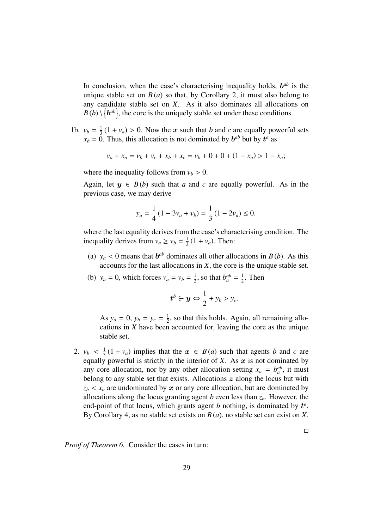In conclusion, when the case's characterising inequality holds,  $b^{ab}$  is the unique stable set on  $B(a)$  so that, by Corollary 2, it must also belong to any candidate stable set on *X*. As it also dominates all allocations on  $B(b) \setminus \{b^{ab}\}\$ , the core is the uniquely stable set under these conditions.

1b.  $v_b = \frac{1}{3}$  $\frac{1}{3}(1 + v_a) > 0$ . Now the x such that *b* and *c* are equally powerful sets <br>0. Thus this allocation is not dominated by  $h^{ab}$  but by  $t^a$  as  $x_b = 0$ . Thus, this allocation is not dominated by  $b^{ab}$  but by  $t^a$  as

$$
v_a + x_a = v_b + v_c + x_b + x_c = v_b + 0 + 0 + (1 - x_a) > 1 - x_a;
$$

where the inequality follows from  $v_b > 0$ .

Again, let  $y \in B(b)$  such that *a* and *c* are equally powerful. As in the previous case, we may derive

$$
y_a = \frac{1}{4} (1 - 3v_a + v_b) = \frac{1}{3} (1 - 2v_a) \le 0.
$$

where the last equality derives from the case's characterising condition. The inequality derives from  $v_a \ge v_b = \frac{1}{3}$  $\frac{1}{3}(1 + v_a)$ . Then:

- (a)  $y_a < 0$  means that  $b^{ab}$  dominates all other allocations in  $B(b)$ . As this accounts for the last allocations in *X*, the core is the unique stable set.
- (b)  $y_a = 0$ , which forces  $v_a = v_b = \frac{1}{2}$  $\frac{1}{2}$ , so that  $b_a^{ab} = \frac{1}{2}$  $\frac{1}{2}$ . Then

$$
\boldsymbol{t}^b \boldsymbol{\epsilon} \boldsymbol{y} \Leftrightarrow \frac{1}{2} + y_b > y_c.
$$

As  $y_a = 0$ ,  $y_b = y_c = \frac{1}{2}$  $\frac{1}{2}$ , so that this holds. Again, all remaining allocations in *X* have been accounted for, leaving the core as the unique stable set.

 $\Box$ 

2.  $v_b < \frac{1}{3}$ <br>equally  $\frac{1}{3}(1 + v_a)$  implies that the  $x \in B(a)$  such that agents *b* and *c* are equally powerful is strictly in the interior of  $X$ . As  $x$  is not dominated by any core allocation, nor by any other allocation setting  $x_a = b_a^{ab}$ , it must belong to any stable set that exists. Allocations  $z$  along the locus but with  $z_b < x_b$  are undominated by x or any core allocation, but are dominated by allocations along the locus granting agent *b* even less than  $z<sub>b</sub>$ . However, the end-point of that locus, which grants agent  $b$  nothing, is dominated by  $t^a$ . By Corollary 4, as no stable set exists on *B* (*a*), no stable set can exist on *X*.

*Proof of Theorem 6.* Consider the cases in turn: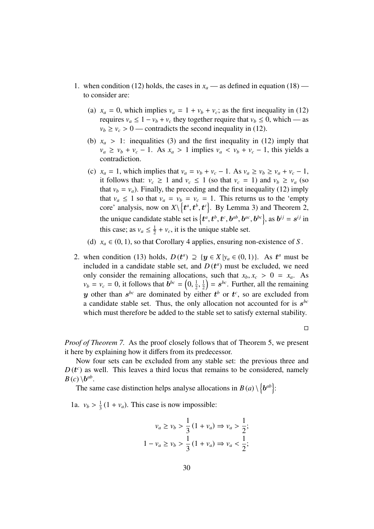- 1. when condition (12) holds, the cases in  $x_a$  as defined in equation (18) to consider are:
	- (a)  $x_a = 0$ , which implies  $v_a = 1 + v_b + v_c$ ; as the first inequality in (12) requires  $v_a \leq 1 - v_b + v_c$  they together require that  $v_b \leq 0$ , which — as  $v_b \ge v_c > 0$  — contradicts the second inequality in (12).
	- (b)  $x_a > 1$ : inequalities (3) and the first inequality in (12) imply that  $v_a \ge v_b + v_c - 1$ . As  $x_a > 1$  implies  $v_a < v_b + v_c - 1$ , this yields a contradiction.
	- (c)  $x_a = 1$ , which implies that  $v_a = v_b + v_c 1$ . As  $v_a \ge v_b \ge v_a + v_c 1$ , it follows that:  $v_c \geq 1$  and  $v_c \leq 1$  (so that  $v_c = 1$ ) and  $v_b \geq v_a$  (so that  $v_b = v_a$ ). Finally, the preceding and the first inequality (12) imply that  $v_a \leq 1$  so that  $v_a = v_b = v_c = 1$ . This returns us to the 'empty core' analysis, now on  $X\setminus \{t^a, t^b, t^c\}$ . By Lemma 3) and Theorem 2, the unique candidate stable set is  $\{t^a, t^b, t^c, b^{ab}, b^{ac}, b^{bc}\}$ , as  $b^{ij} = s^{ij}$  in<br>this associated in the line is the unique stable set this case; as  $v_a \leq \frac{1}{2}$  $\frac{1}{2} + v_c$ , it is the unique stable set.
	- (d)  $x_a \in (0, 1)$ , so that Corollary 4 applies, ensuring non-existence of *S*.
- 2. when condition (13) holds,  $D(t^a) \supseteq \{y \in X | y_a \in (0, 1)\}\)$ . As  $t^a$  must be included in a candidate stable set, and  $D(t^a)$  must be excluded, we need included in a candidate stable set, and  $D(t^a)$  must be excluded, we need only consider the remaining allocations, such that  $x_b$ ,  $x_c > 0 = x_a$ . As  $v_b = v_c = 0$ , it follows that  $\vec{b}^{bc} = \left(0, \frac{1}{2}\right)$ 2 y other than  $s^{bc}$  are dominated by either  $t^b$  or  $t^c$ , so are excluded from 1  $\left(\frac{1}{2}\right) = s^{bc}$ . Further, all the remaining a candidate stable set. Thus, the only allocation not accounted for is  $s^{bc}$ which must therefore be added to the stable set to satisfy external stability.

 $\Box$ 

*Proof of Theorem 7.* As the proof closely follows that of Theorem 5, we present it here by explaining how it differs from its predecessor.

Now four sets can be excluded from any stable set: the previous three and  $D(t^c)$  as well. This leaves a third locus that remains to be considered, namely  $B(c) \setminus b^{ab}$ .

The same case distinction helps analyse allocations in  $B(a) \setminus {b^{ab}}$ :

1a.  $v_b > \frac{1}{3}$  $\frac{1}{3}(1 + v_a)$ . This case is now impossible:

$$
v_a \ge v_b > \frac{1}{3} (1 + v_a) \Rightarrow v_a > \frac{1}{2};
$$
  

$$
1 - v_a \ge v_b > \frac{1}{3} (1 + v_a) \Rightarrow v_a < \frac{1}{2};
$$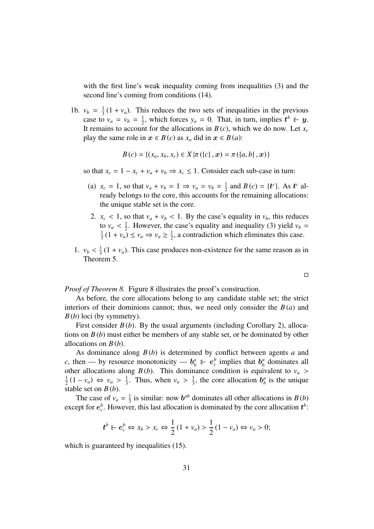with the first line's weak inequality coming from inequalities (3) and the second line's coming from conditions (14).

1b.  $v_b = \frac{1}{3}$  $\frac{1}{3}(1 + v_a)$ . This reduces the two sets of inequalities in the previous case to  $v_a = v_b = \frac{1}{2}$  $\frac{1}{2}$ , which forces  $y_a = 0$ . That, in turn, implies  $t^b \in y$ . It remains to account for the allocations in  $B(c)$ , which we do now. Let  $x_c$ play the same role in  $x \in B(c)$  as  $x_a$  did in  $x \in B(a)$ :

$$
B(c) = \{(x_a, x_b, x_c) \in X | \pi(\{c\}, x) = \pi(\{a, b\}, x)\}\
$$

so that  $x_c = 1 - x_c + v_a + v_b \Rightarrow x_c \leq 1$ . Consider each sub-case in turn:

- (a)  $x_c = 1$ , so that  $v_a + v_b = 1 \implies v_a = v_b = \frac{1}{2}$  $\frac{1}{2}$  and *B*(*c*) = {*t*<sup>*c*</sup>}. As *t*<sup>*c*</sup> already belongs to the core, this accounts for the remaining allocations: the unique stable set is the core.
- 2.  $x_c < 1$ , so that  $v_a + v_b < 1$ . By the case's equality in  $v_b$ , this reduces to  $v_a < \frac{1}{2}$ <br> $(1 + v_a)$  $\frac{1}{2}$ . However, the case's equality and inequality (3) yield  $v_b =$ 1  $\frac{1}{3}(1 + v_a) \le v_a \Rightarrow v_a \ge \frac{1}{2}$  $\frac{1}{2}$ , a contradiction which eliminates this case.
- 1.  $v_b < \frac{1}{3}$ <br>Theor  $\frac{1}{3}(1 + v_a)$ . This case produces non-existence for the same reason as in Theorem 5.

 $\Box$ 

*Proof of Theorem 8.* Figure 8 illustrates the proof's construction.

As before, the core allocations belong to any candidate stable set; the strict interiors of their dominions cannot; thus, we need only consider the *B* (*a*) and *B* (*b*) loci (by symmetry).

First consider *B* (*b*). By the usual arguments (including Corollary 2), allocations on *B* (*b*) must either be members of any stable set, or be dominated by other allocations on *B* (*b*).

As dominance along *B* (*b*) is determined by conflict between agents *a* and *c*, then — by resource monotonicity —  $b^a_b \varepsilon^b e^b_c$  implies that  $b^a_b$ *b* dominates all other allocations along  $B(b)$ . This dominance condition is equivalent to  $v_a >$ 1  $\frac{1}{2}(1 - v_a) \Leftrightarrow v_a > \frac{1}{3}$ <br>stable set on *R*(*b*)  $\frac{1}{3}$ . Thus, when  $v_a > \frac{1}{3}$  $\frac{1}{3}$ , the core allocation  $b^a_{\beta}$  $\int_b^a$  is the unique stable set on *B* (*b*).

The case of  $v_a = \frac{1}{3}$  $\frac{1}{3}$  is similar: now  $b^{ab}$  dominates all other allocations in *B* (*b*) except for  $e_c^b$ . However, this last allocation is dominated by the core allocation  $t^b$ :

$$
\boldsymbol{t}^b \in \boldsymbol{e}_c^b \Leftrightarrow x_b > x_c \Leftrightarrow \frac{1}{2} \left( 1 + v_a \right) > \frac{1}{2} \left( 1 - v_a \right) \Leftrightarrow v_a > 0;
$$

which is guaranteed by inequalities  $(15)$ .